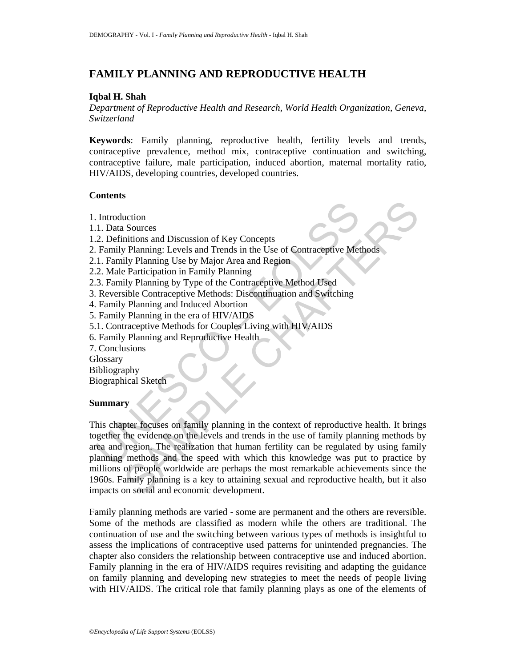# **FAMILY PLANNING AND REPRODUCTIVE HEALTH**

## **Iqbal H. Shah**

*Department of Reproductive Health and Research, World Health Organization, Geneva, Switzerland*

**Keywords**: Family planning, reproductive health, fertility levels and trends, contraceptive prevalence, method mix, contraceptive continuation and switching, contraceptive failure, male participation, induced abortion, maternal mortality ratio, HIV/AIDS, developing countries, developed countries.

### **Contents**

- 1. Introduction
- 1.1. Data Sources
- 1.2. Definitions and Discussion of Key Concepts
- 2. Family Planning: Levels and Trends in the Use of Contraceptive Methods
- 2.1. Family Planning Use by Major Area and Region
- 2.2. Male Participation in Family Planning
- 2.3. Family Planning by Type of the Contraceptive Method Used
- 3. Reversible Contraceptive Methods: Discontinuation and Switching
- 4. Family Planning and Induced Abortion
- 5. Family Planning in the era of HIV/AIDS
- 5.1. Contraceptive Methods for Couples Living with HIV/AIDS
- 6. Family Planning and Reproductive Health
- 7. Conclusions
- **Glossary**
- Bibliography
- Biographical Sketch

# **Summary**

Introduction<br>
1. Data Sources<br>
2. Definitions and Discussion of Key Concepts<br>
2. Definitions and Discussion of Key Concepts<br>
1. Family Planning Use by Major Area and Region<br>
2. Male Participation in Family Planning<br>
2. Mal notion<br>
Sources<br>
Sharing Use by Manning Use of Contraceptive Methods<br>
IV Planning Use by Major Area and Region<br>
Participation in Family Planning<br>
Ely Planning by Type of the Contraceptive Method Used<br>
is Participation in F This chapter focuses on family planning in the context of reproductive health. It brings together the evidence on the levels and trends in the use of family planning methods by area and region. The realization that human fertility can be regulated by using family planning methods and the speed with which this knowledge was put to practice by millions of people worldwide are perhaps the most remarkable achievements since the 1960s. Family planning is a key to attaining sexual and reproductive health, but it also impacts on social and economic development.

Family planning methods are varied - some are permanent and the others are reversible. Some of the methods are classified as modern while the others are traditional. The continuation of use and the switching between various types of methods is insightful to assess the implications of contraceptive used patterns for unintended pregnancies. The chapter also considers the relationship between contraceptive use and induced abortion. Family planning in the era of HIV/AIDS requires revisiting and adapting the guidance on family planning and developing new strategies to meet the needs of people living with HIV/AIDS. The critical role that family planning plays as one of the elements of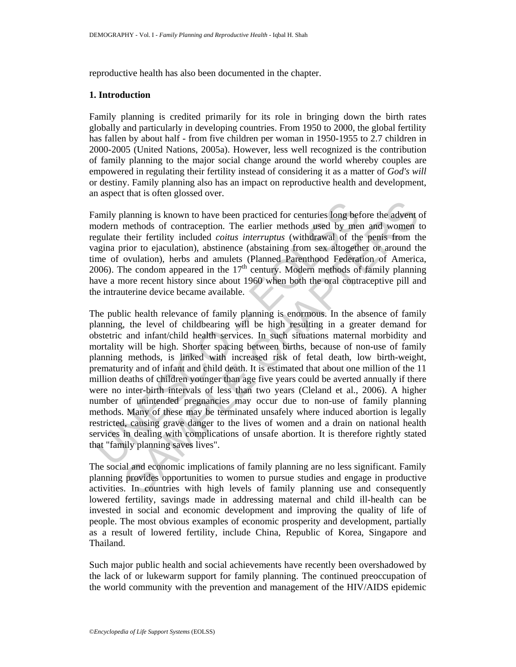reproductive health has also been documented in the chapter.

#### **1. Introduction**

Family planning is credited primarily for its role in bringing down the birth rates globally and particularly in developing countries. From 1950 to 2000, the global fertility has fallen by about half - from five children per woman in 1950-1955 to 2.7 children in 2000-2005 (United Nations, 2005a). However, less well recognized is the contribution of family planning to the major social change around the world whereby couples are empowered in regulating their fertility instead of considering it as a matter of *God's will* or destiny. Family planning also has an impact on reproductive health and development, an aspect that is often glossed over.

Family planning is known to have been practiced for centuries long before the advent of modern methods of contraception. The earlier methods used by men and women to regulate their fertility included *coitus interruptus* (withdrawal of the penis from the vagina prior to ejaculation), abstinence (abstaining from sex altogether or around the time of ovulation), herbs and amulets (Planned Parenthood Federation of America, 2006). The condom appeared in the  $17<sup>th</sup>$  century. Modern methods of family planning have a more recent history since about 1960 when both the oral contraceptive pill and the intrauterine device became available.

amily planning is known to have been practiced for centuries long between methods of contraception. The earlier methods used by megulate their fertility included *coitus interruptus* (withdrawal of the agina prior to ejacu lanning is known to have been practiced for centuries long before the advent<br>methods of contraception. The carlier methods used by men and women their fertility included *coitus interruptus* (withdrawal of the penis from The public health relevance of family planning is enormous. In the absence of family planning, the level of childbearing will be high resulting in a greater demand for obstetric and infant/child health services. In such situations maternal morbidity and mortality will be high. Shorter spacing between births, because of non-use of family planning methods, is linked with increased risk of fetal death, low birth-weight, prematurity and of infant and child death. It is estimated that about one million of the 11 million deaths of children younger than age five years could be averted annually if there were no inter-birth intervals of less than two years (Cleland et al., 2006). A higher number of unintended pregnancies may occur due to non-use of family planning methods. Many of these may be terminated unsafely where induced abortion is legally restricted, causing grave danger to the lives of women and a drain on national health services in dealing with complications of unsafe abortion. It is therefore rightly stated that "family planning saves lives".

The social and economic implications of family planning are no less significant. Family planning provides opportunities to women to pursue studies and engage in productive activities. In countries with high levels of family planning use and consequently lowered fertility, savings made in addressing maternal and child ill-health can be invested in social and economic development and improving the quality of life of people. The most obvious examples of economic prosperity and development, partially as a result of lowered fertility, include China, Republic of Korea, Singapore and Thailand.

Such major public health and social achievements have recently been overshadowed by the lack of or lukewarm support for family planning. The continued preoccupation of the world community with the prevention and management of the HIV/AIDS epidemic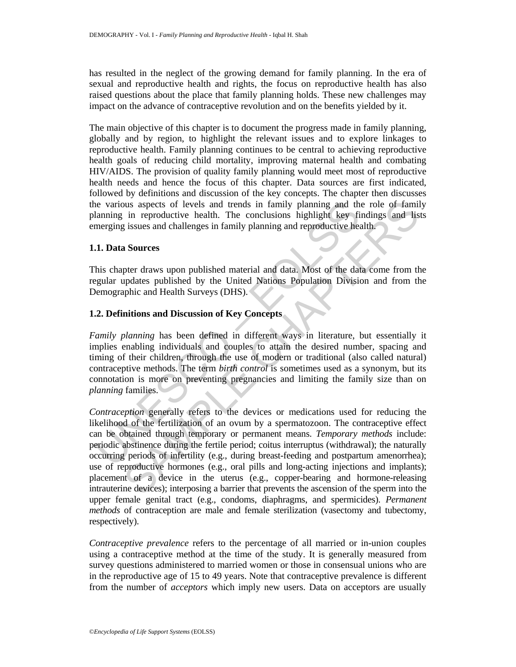has resulted in the neglect of the growing demand for family planning. In the era of sexual and reproductive health and rights, the focus on reproductive health has also raised questions about the place that family planning holds. These new challenges may impact on the advance of contraceptive revolution and on the benefits yielded by it.

The main objective of this chapter is to document the progress made in family planning, globally and by region, to highlight the relevant issues and to explore linkages to reproductive health. Family planning continues to be central to achieving reproductive health goals of reducing child mortality, improving maternal health and combating HIV/AIDS. The provision of quality family planning would meet most of reproductive health needs and hence the focus of this chapter. Data sources are first indicated, followed by definitions and discussion of the key concepts. The chapter then discusses the various aspects of levels and trends in family planning and the role of family planning in reproductive health. The conclusions highlight key findings and lists emerging issues and challenges in family planning and reproductive health.

# **1.1. Data Sources**

This chapter draws upon published material and data. Most of the data come from the regular updates published by the United Nations Population Division and from the Demographic and Health Surveys (DHS).

### **1.2. Definitions and Discussion of Key Concepts**

is various aspects of levels and trends in family planning and the lanning in reproductive health. The conclusions highlight key filmerging issues and challenges in family planning and reproductive heal.<br> **1. Data Sources** *Family planning* has been defined in different ways in literature, but essentially it implies enabling individuals and couples to attain the desired number, spacing and timing of their children, through the use of modern or traditional (also called natural) contraceptive methods. The term *birth control* is sometimes used as a synonym, but its connotation is more on preventing pregnancies and limiting the family size than on *planning* families.

by a aspects of levels and tends in family planning and the role of famili<br>in reproductive health. The conclusions highlight key findings and list<br>is issues and challenges in family planning and reproductive health.<br>Source *Contraception* generally refers to the devices or medications used for reducing the likelihood of the fertilization of an ovum by a spermatozoon. The contraceptive effect can be obtained through temporary or permanent means. *Temporary methods* include: periodic abstinence during the fertile period; coitus interruptus (withdrawal); the naturally occurring periods of infertility (e.g., during breast-feeding and postpartum amenorrhea); use of reproductive hormones (e.g., oral pills and long-acting injections and implants); placement of a device in the uterus (e.g., copper-bearing and hormone-releasing intrauterine devices); interposing a barrier that prevents the ascension of the sperm into the upper female genital tract (e.g., condoms, diaphragms, and spermicides). *Permanent methods* of contraception are male and female sterilization (vasectomy and tubectomy, respectively).

*Contraceptive prevalence* refers to the percentage of all married or in-union couples using a contraceptive method at the time of the study. It is generally measured from survey questions administered to married women or those in consensual unions who are in the reproductive age of 15 to 49 years. Note that contraceptive prevalence is different from the number of *acceptors* which imply new users. Data on acceptors are usually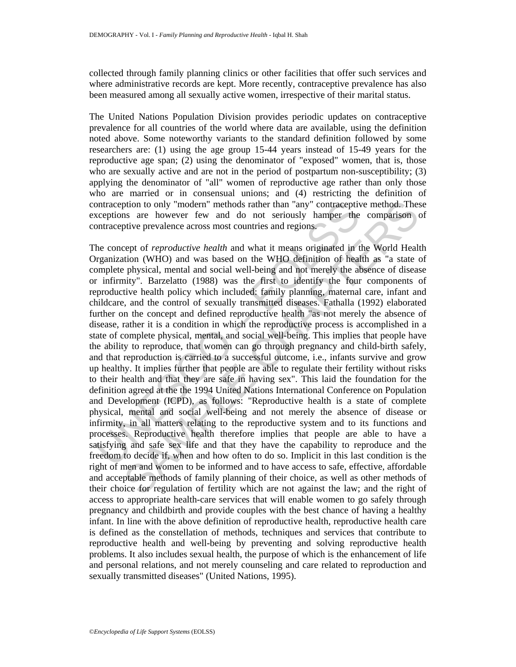collected through family planning clinics or other facilities that offer such services and where administrative records are kept. More recently, contraceptive prevalence has also been measured among all sexually active women, irrespective of their marital status.

The United Nations Population Division provides periodic updates on contraceptive prevalence for all countries of the world where data are available, using the definition noted above. Some noteworthy variants to the standard definition followed by some researchers are: (1) using the age group 15-44 years instead of 15-49 years for the reproductive age span; (2) using the denominator of "exposed" women, that is, those who are sexually active and are not in the period of postpartum non-susceptibility; (3) applying the denominator of "all" women of reproductive age rather than only those who are married or in consensual unions; and (4) restricting the definition of contraception to only "modern" methods rather than "any" contraceptive method. These exceptions are however few and do not seriously hamper the comparison of contraceptive prevalence across most countries and regions.

ontraception to only "modern" methods rather than "any" contraceptive<br>ceeptions are however few and do not seriously hamper the<br>ontraceptive prevalence across most countries and regions.<br>The concept of *reproductive health* ption to only "modern" methods rather than "any" contraceptive method. These are however frew and do not scribusly hampper the comparison ceptive prevalence across mot do not scribusly hampper the comparison experience are The concept of *reproductive health* and what it means originated in the World Health Organization (WHO) and was based on the WHO definition of health as "a state of complete physical, mental and social well-being and not merely the absence of disease or infirmity". Barzelatto (1988) was the first to identify the four components of reproductive health policy which included: family planning, maternal care, infant and childcare, and the control of sexually transmitted diseases. Fathalla (1992) elaborated further on the concept and defined reproductive health "as not merely the absence of disease, rather it is a condition in which the reproductive process is accomplished in a state of complete physical, mental, and social well-being. This implies that people have the ability to reproduce, that women can go through pregnancy and child-birth safely, and that reproduction is carried to a successful outcome, i.e., infants survive and grow up healthy. It implies further that people are able to regulate their fertility without risks to their health and that they are safe in having sex". This laid the foundation for the definition agreed at the the 1994 United Nations International Conference on Population and Development (ICPD), as follows: "Reproductive health is a state of complete physical, mental and social well-being and not merely the absence of disease or infirmity, in all matters relating to the reproductive system and to its functions and processes. Reproductive health therefore implies that people are able to have a satisfying and safe sex life and that they have the capability to reproduce and the freedom to decide if, when and how often to do so. Implicit in this last condition is the right of men and women to be informed and to have access to safe, effective, affordable and acceptable methods of family planning of their choice, as well as other methods of their choice for regulation of fertility which are not against the law; and the right of access to appropriate health-care services that will enable women to go safely through pregnancy and childbirth and provide couples with the best chance of having a healthy infant. In line with the above definition of reproductive health, reproductive health care is defined as the constellation of methods, techniques and services that contribute to reproductive health and well-being by preventing and solving reproductive health problems. It also includes sexual health, the purpose of which is the enhancement of life and personal relations, and not merely counseling and care related to reproduction and sexually transmitted diseases" (United Nations, 1995).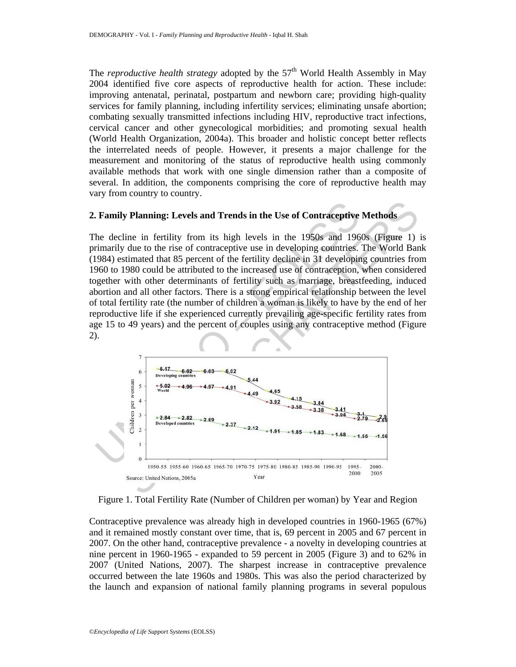The *reproductive health strategy* adopted by the  $57<sup>th</sup>$  World Health Assembly in May 2004 identified five core aspects of reproductive health for action. These include: improving antenatal, perinatal, postpartum and newborn care; providing high-quality services for family planning, including infertility services; eliminating unsafe abortion; combating sexually transmitted infections including HIV, reproductive tract infections, cervical cancer and other gynecological morbidities; and promoting sexual health (World Health Organization, 2004a). This broader and holistic concept better reflects the interrelated needs of people. However, it presents a major challenge for the measurement and monitoring of the status of reproductive health using commonly available methods that work with one single dimension rather than a composite of several. In addition, the components comprising the core of reproductive health may vary from country to country.

#### **2. Family Planning: Levels and Trends in the Use of Contraceptive Methods**

The decline in fertility from its high levels in the 1950s and 1960s (Figure 1) is primarily due to the rise of contraceptive use in developing countries. The World Bank (1984) estimated that 85 percent of the fertility decline in 31 developing countries from 1960 to 1980 could be attributed to the increased use of contraception, when considered together with other determinants of fertility such as marriage, breastfeeding, induced abortion and all other factors. There is a strong empirical relationship between the level of total fertility rate (the number of children a woman is likely to have by the end of her reproductive life if she experienced currently prevailing age-specific fertility rates from age 15 to 49 years) and the percent of couples using any contraceptive method (Figure 2).



Figure 1. Total Fertility Rate (Number of Children per woman) by Year and Region

Contraceptive prevalence was already high in developed countries in 1960-1965 (67%) and it remained mostly constant over time, that is, 69 percent in 2005 and 67 percent in 2007. On the other hand, contraceptive prevalence - a novelty in developing countries at nine percent in 1960-1965 - expanded to 59 percent in 2005 (Figure 3) and to 62% in 2007 (United Nations, 2007). The sharpest increase in contraceptive prevalence occurred between the late 1960s and 1980s. This was also the period characterized by the launch and expansion of national family planning programs in several populous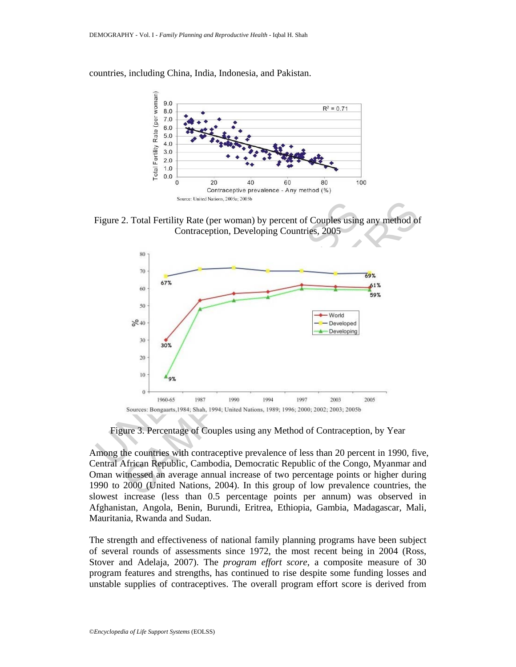

countries, including China, India, Indonesia, and Pakistan.

Figure 2. Total Fertility Rate (per woman) by percent of Couples using any method of Contraception, Developing Countries, 2005



Figure 3. Percentage of Couples using any Method of Contraception, by Year

Among the countries with contraceptive prevalence of less than 20 percent in 1990, five, Central African Republic, Cambodia, Democratic Republic of the Congo, Myanmar and Oman witnessed an average annual increase of two percentage points or higher during 1990 to 2000 (United Nations, 2004). In this group of low prevalence countries, the slowest increase (less than 0.5 percentage points per annum) was observed in Afghanistan, Angola, Benin, Burundi, Eritrea, Ethiopia, Gambia, Madagascar, Mali, Mauritania, Rwanda and Sudan.

The strength and effectiveness of national family planning programs have been subject of several rounds of assessments since 1972, the most recent being in 2004 (Ross, Stover and Adelaja, 2007). The *program effort score*, a composite measure of 30 program features and strengths, has continued to rise despite some funding losses and unstable supplies of contraceptives. The overall program effort score is derived from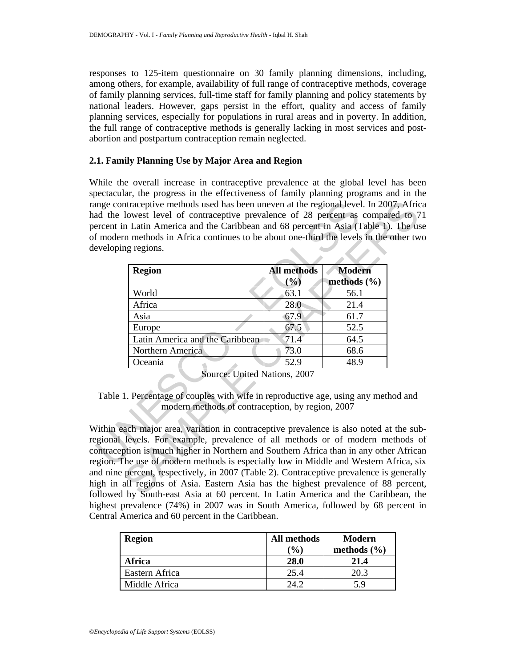responses to 125-item questionnaire on 30 family planning dimensions, including, among others, for example, availability of full range of contraceptive methods, coverage of family planning services, full-time staff for family planning and policy statements by national leaders. However, gaps persist in the effort, quality and access of family planning services, especially for populations in rural areas and in poverty. In addition, the full range of contraceptive methods is generally lacking in most services and postabortion and postpartum contraception remain neglected.

# **2.1. Family Planning Use by Major Area and Region**

While the overall increase in contraceptive prevalence at the global level has been spectacular, the progress in the effectiveness of family planning programs and in the range contraceptive methods used has been uneven at the regional level. In 2007, Africa had the lowest level of contraceptive prevalence of 28 percent as compared to 71 percent in Latin America and the Caribbean and 68 percent in Asia (Table 1). The use of modern methods in Africa continues to be about one-third the levels in the other two developing regions.

| <b>Region</b>                                                                                                                          | <b>All methods</b> | <b>Modern</b>   |
|----------------------------------------------------------------------------------------------------------------------------------------|--------------------|-----------------|
|                                                                                                                                        | (%)                | methods $(\% )$ |
| World                                                                                                                                  | 63.1               | 56.1            |
| Africa                                                                                                                                 | 28.0               | 21.4            |
| Asia                                                                                                                                   | 67.9               | 61.7            |
| Europe                                                                                                                                 | 67.5               | 52.5            |
| Latin America and the Caribbean                                                                                                        | 71.4               | 64.5            |
| Northern America                                                                                                                       | 73.0               | 68.6            |
| Oceania                                                                                                                                | 52.9               | 48.9            |
| Table 1. Percentage of couples with wife in reproductive age, using any method and<br>modern methods of contraception, by region, 2007 |                    |                 |

Within each major area, variation in contraceptive prevalence is also noted at the subregional levels. For example, prevalence of all methods or of modern methods of contraception is much higher in Northern and Southern Africa than in any other African region. The use of modern methods is especially low in Middle and Western Africa, six and nine percent, respectively, in 2007 (Table 2). Contraceptive prevalence is generally high in all regions of Asia. Eastern Asia has the highest prevalence of 88 percent, followed by South-east Asia at 60 percent. In Latin America and the Caribbean, the highest prevalence (74%) in 2007 was in South America, followed by 68 percent in Central America and 60 percent in the Caribbean.

| <b>Region</b>  | All methods   | <b>Modern</b>   |  |
|----------------|---------------|-----------------|--|
|                | $\frac{9}{6}$ | methods $(\% )$ |  |
| Africa         | <b>28.0</b>   | 21.4            |  |
| Eastern Africa | 25.4          | 20.3            |  |
| Middle Africa  | 74 J          | 5 9             |  |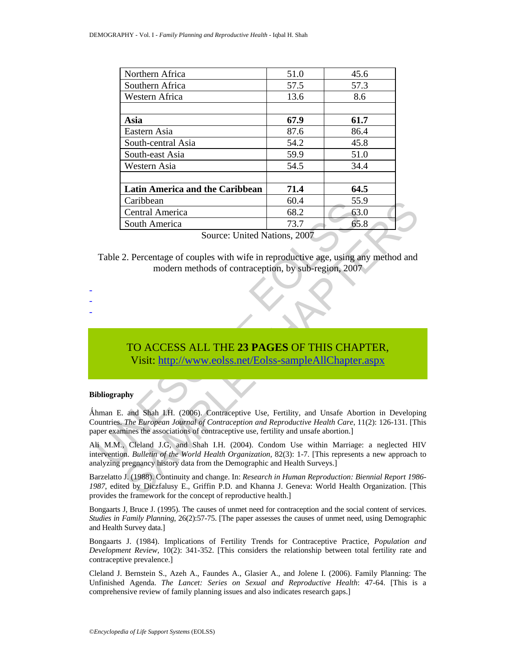| Northern Africa                                                                                                                                                                                                                                                                                                                                                                                    | 51.0 | 45.6 |  |
|----------------------------------------------------------------------------------------------------------------------------------------------------------------------------------------------------------------------------------------------------------------------------------------------------------------------------------------------------------------------------------------------------|------|------|--|
| Southern Africa                                                                                                                                                                                                                                                                                                                                                                                    | 57.5 | 57.3 |  |
| Western Africa                                                                                                                                                                                                                                                                                                                                                                                     | 13.6 | 8.6  |  |
|                                                                                                                                                                                                                                                                                                                                                                                                    |      |      |  |
| Asia                                                                                                                                                                                                                                                                                                                                                                                               | 67.9 | 61.7 |  |
| Eastern Asia                                                                                                                                                                                                                                                                                                                                                                                       | 87.6 | 86.4 |  |
| South-central Asia                                                                                                                                                                                                                                                                                                                                                                                 | 54.2 | 45.8 |  |
| South-east Asia                                                                                                                                                                                                                                                                                                                                                                                    | 59.9 | 51.0 |  |
| Western Asia                                                                                                                                                                                                                                                                                                                                                                                       | 54.5 | 34.4 |  |
|                                                                                                                                                                                                                                                                                                                                                                                                    |      |      |  |
| <b>Latin America and the Caribbean</b>                                                                                                                                                                                                                                                                                                                                                             | 71.4 | 64.5 |  |
| Caribbean                                                                                                                                                                                                                                                                                                                                                                                          | 60.4 | 55.9 |  |
| Central America                                                                                                                                                                                                                                                                                                                                                                                    | 68.2 | 63.0 |  |
| South America                                                                                                                                                                                                                                                                                                                                                                                      | 73.7 | 65.8 |  |
| TO ACCESS ALL THE 23 PAGES OF THIS CHAPTER,<br>Visit: http://www.eolss.net/Eolss-sampleAllChapter.aspx                                                                                                                                                                                                                                                                                             |      |      |  |
| ibliography<br>hman E. and Shah I.H. (2006). Contraceptive Use, Fertility, and Unsafe Abortion in Developin<br>ountries. The European Journal of Contraception and Reproductive Health Care, 11(2): 126-131. [Th<br>aper examines the associations of contraceptive use, fertility and unsafe abortion.]<br>li M.M., Cleland J.G, and Shah I.H. (2004). Condom Use within Marriage: a neglected HI |      |      |  |
| tervention. Bulletin of the World Health Organization, 82(3): 1-7. [This represents a new approach<br>nalyzing pregnancy history data from the Demographic and Health Surveys.]<br>arzelatto J. (1988). Continuity and change. In: Research in Human Reproduction: Biennial Report 198<br>987, edited by Diczfalusy E., Griffin P.D. and Khanna J. Geneva: World Health Organization. [Th          |      |      |  |
| ovides the framework for the concent of reproductive health l                                                                                                                                                                                                                                                                                                                                      |      |      |  |

# TO ACCESS ALL THE **23 PAGES** OF THIS CHAPTER, Visit: http://www.eolss.net/Eolss-sampleAllChapter.aspx

#### **Bibliography**

- - -

Barzelatto J. (1988). Continuity and change. In: *Research in Human Reproduction: Biennial Report 1986- 1987*, edited by Diczfalusy E., Griffin P.D. and Khanna J. Geneva: World Health Organization. [This provides the framework for the concept of reproductive health.]

Bongaarts J, Bruce J. (1995). The causes of unmet need for contraception and the social content of services. *Studies in Family Planning*, 26(2):57-75. [The paper assesses the causes of unmet need, using Demographic and Health Survey data.]

Bongaarts J. (1984). Implications of Fertility Trends for Contraceptive Practice, *Population and Development Review,* 10(2): 341-352. [This considers the relationship between total fertility rate and contraceptive prevalence.]

Cleland J. Bernstein S., Azeh A., Faundes A., Glasier A., and Jolene I. (2006). Family Planning: The Unfinished Agenda. *The Lancet: Series on Sexual and Reproductive Health*: 47-64. [This is a comprehensive review of family planning issues and also indicates research gaps.]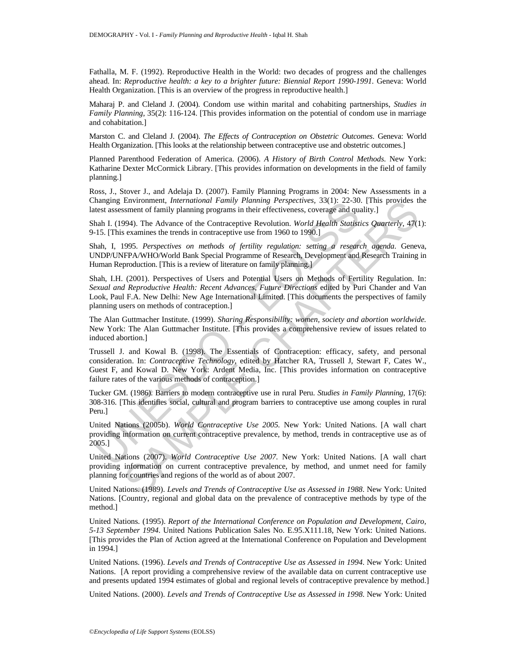Fathalla, M. F. (1992). Reproductive Health in the World: two decades of progress and the challenges ahead. In: *Reproductive health: a key to a brighter future: Biennial Report 1990-1991.* Geneva: World Health Organization. [This is an overview of the progress in reproductive health.]

Maharaj P. and Cleland J. (2004). Condom use within marital and cohabiting partnerships, *Studies in Family Planning*, 35(2): 116-124. [This provides information on the potential of condom use in marriage and cohabitation.]

Marston C. and Cleland J. (2004). *The Effects of Contraception on Obstetric Outcomes*. Geneva: World Health Organization. [This looks at the relationship between contraceptive use and obstetric outcomes.]

Planned Parenthood Federation of America. (2006). *A History of Birth Control Methods.* New York: Katharine Dexter McCormick Library. [This provides information on developments in the field of family planning.]

Ross, J., Stover J., and Adelaja D. (2007). Family Planning Programs in 2004: New Assessments in a Changing Environment, *International Family Planning Perspectives,* 33(1): 22-30. [This provides the latest assessment of family planning programs in their effectiveness, coverage and quality.]

Shah I. (1994). The Advance of the Contraceptive Revolution. *World Health Statistics Quarterly*, 47(1): 9-15. [This examines the trends in contraceptive use from 1960 to 1990.]

Shah, I, 1995. *Perspectives on methods of fertility regulation: setting a research agenda*. Geneva, UNDP/UNFPA/WHO/World Bank Special Programme of Research, Development and Research Training in Human Reproduction. [This is a review of literature on family planning.]

many environment, *miernational remaily riamming perspecives*, 30(1): 22-30<br>test assessment of family planning programs in their effectiveness, coverage and quanh 1. (1994). The Advance of the Contraceptive Revolution. *Wo* Environment, *International Family Plammig Perspectives*, 33(1): 22-30. [1Ins provides a<br>Ensmert of family plamming programs in their effectiveness, coverage and quality.]<br>
994). The Advance of the Contraceptive Revolution Shah, I.H. (2001). Perspectives of Users and Potential Users on Methods of Fertility Regulation. In: *Sexual and Reproductive Health: Recent Advances, Future Directions* edited by Puri Chander and Van Look, Paul F.A. New Delhi: New Age International Limited. [This documents the perspectives of family planning users on methods of contraception.]

The Alan Guttmacher Institute. (1999). *Sharing Responsibility: women, society and abortion worldwide.* New York: The Alan Guttmacher Institute. [This provides a comprehensive review of issues related to induced abortion.]

Trussell J. and Kowal B. (1998). The Essentials of Contraception: efficacy, safety, and personal consideration. In: *Contraceptive Technology*, edited by Hatcher RA, Trussell J, Stewart F, Cates W., Guest F, and Kowal D. New York: Ardent Media, Inc. [This provides information on contraceptive failure rates of the various methods of contraception.]

Tucker GM. (1986). Barriers to modern contraceptive use in rural Peru. *Studies in Family Planning*, 17(6): 308-316. [This identifies social, cultural and program barriers to contraceptive use among couples in rural Peru.]

United Nations (2005b). *World Contraceptive Use 2005.* New York: United Nations. [A wall chart providing information on current contraceptive prevalence, by method, trends in contraceptive use as of 2005.]

United Nations (2007). *World Contraceptive Use 2007.* New York: United Nations. [A wall chart providing information on current contraceptive prevalence, by method, and unmet need for family planning for countries and regions of the world as of about 2007.

United Nations. (1989). *Levels and Trends of Contraceptive Use as Assessed in 1988*. New York: United Nations. [Country, regional and global data on the prevalence of contraceptive methods by type of the method.]

United Nations. (1995). *Report of the International Conference on Population and Development, Cairo, 5-13 September 1994*. United Nations Publication Sales No. E.95.X111.18, New York: United Nations. [This provides the Plan of Action agreed at the International Conference on Population and Development in 1994.]

United Nations. (1996). *Levels and Trends of Contraceptive Use as Assessed in 1994*. New York: United Nations. [A report providing a comprehensive review of the available data on current contraceptive use and presents updated 1994 estimates of global and regional levels of contraceptive prevalence by method.]

United Nations. (2000). *Levels and Trends of Contraceptive Use as Assessed in 1998*. New York: United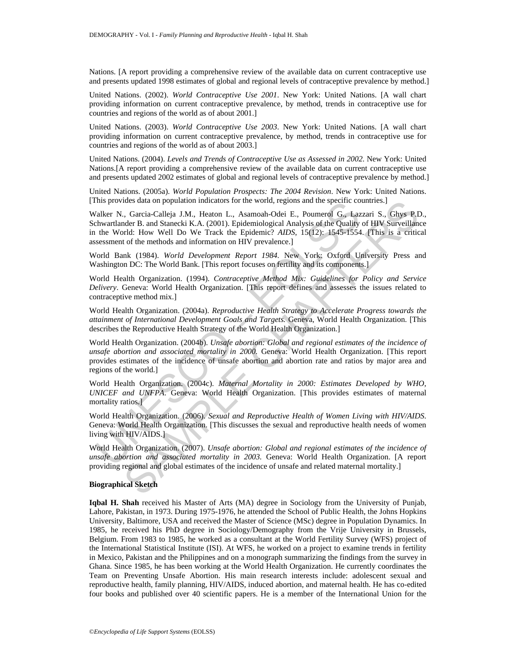Nations. [A report providing a comprehensive review of the available data on current contraceptive use and presents updated 1998 estimates of global and regional levels of contraceptive prevalence by method.]

United Nations. (2002). *World Contraceptive Use 2001*. New York: United Nations. [A wall chart providing information on current contraceptive prevalence, by method, trends in contraceptive use for countries and regions of the world as of about 2001.]

United Nations. (2003). *World Contraceptive Use 2003*. New York: United Nations. [A wall chart providing information on current contraceptive prevalence, by method, trends in contraceptive use for countries and regions of the world as of about 2003.]

United Nations. (2004). *Levels and Trends of Contraceptive Use as Assessed in 2002*. New York: United Nations.[A report providing a comprehensive review of the available data on current contraceptive use and presents updated 2002 estimates of global and regional levels of contraceptive prevalence by method.]

United Nations. (2005a). *World Population Prospects: The 2004 Revision*. New York: United Nations. [This provides data on population indicators for the world, regions and the specific countries.]

ms provides data on population indicators for the world, regions and the specific correct colables N., Gearn Calleja J.M., Heaton L., Asamoah-Odei E., Pournerol G., Lazamin-Architel Wher N., Granda-Calleja J.M., Heaton L., ides data on population indicators for the world, regions and the specific countries.]<br>  $G$  Garcia-Calleja J.M., Heaton L., Assmoon-Odei E., Pounerol G, Lazzari S., Ghys-P.I.<br>
Geric-Calleja J.M., Heaton L., Assmoon-Odei E Walker N., Garcia-Calleja J.M., Heaton L., Asamoah-Odei E., Poumerol G., Lazzari S., Ghys P.D., Schwartlander B. and Stanecki K.A. (2001). Epidemiological Analysis of the Quality of HIV Surveillance in the World: How Well Do We Track the Epidemic? *AIDS*, 15(12): 1545-1554. [This is a critical assessment of the methods and information on HIV prevalence.]

World Bank (1984). *World Development Report 1984*. New York: Oxford University Press and Washington DC: The World Bank. [This report focuses on fertility and its components.]

World Health Organization. (1994). *Contraceptive Method Mix: Guidelines for Policy and Service Delivery*. Geneva: World Health Organization. [This report defines and assesses the issues related to contraceptive method mix.]

World Health Organization. (2004a). *Reproductive Health Strategy to Accelerate Progress towards the attainment of International Development Goals and Targets.* Geneva, World Health Organization. [This describes the Reproductive Health Strategy of the World Health Organization.]

World Health Organization. (2004b). *Unsafe abortion: Global and regional estimates of the incidence of unsafe abortion and associated mortality in 2000.* Geneva: World Health Organization. [This report provides estimates of the incidence of unsafe abortion and abortion rate and ratios by major area and regions of the world.]

World Health Organization. (2004c). *Maternal Mortality in 2000: Estimates Developed by WHO, UNICEF and UNFPA*. Geneva: World Health Organization. [This provides estimates of maternal mortality ratios.]

World Health Organization. (2006). *Sexual and Reproductive Health of Women Living with HIV/AIDS*. Geneva: World Health Organization. [This discusses the sexual and reproductive health needs of women living with HIV/AIDS.]

World Health Organization. (2007). *Unsafe abortion: Global and regional estimates of the incidence of unsafe abortion and associated mortality in 2003.* Geneva: World Health Organization. [A report providing regional and global estimates of the incidence of unsafe and related maternal mortality.]

#### **Biographical Sketch**

**Iqbal H. Shah** received his Master of Arts (MA) degree in Sociology from the University of Punjab, Lahore, Pakistan, in 1973. During 1975-1976, he attended the School of Public Health, the Johns Hopkins University, Baltimore, USA and received the Master of Science (MSc) degree in Population Dynamics. In 1985, he received his PhD degree in Sociology/Demography from the Vrije University in Brussels, Belgium. From 1983 to 1985, he worked as a consultant at the World Fertility Survey (WFS) project of the International Statistical Institute (ISI). At WFS, he worked on a project to examine trends in fertility in Mexico, Pakistan and the Philippines and on a monograph summarizing the findings from the survey in Ghana. Since 1985, he has been working at the World Health Organization. He currently coordinates the Team on Preventing Unsafe Abortion. His main research interests include: adolescent sexual and reproductive health, family planning, HIV/AIDS, induced abortion, and maternal health. He has co-edited four books and published over 40 scientific papers. He is a member of the International Union for the